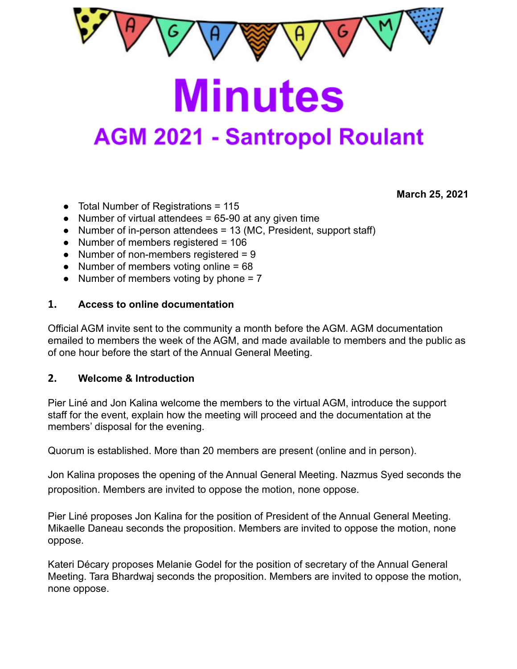

**Minutes AGM 2021 - Santropol Roulant** 

**March 25, 2021**

### ● Total Number of Registrations = 115

- Number of virtual attendees  $= 65-90$  at any given time
- $\bullet$  Number of in-person attendees = 13 (MC, President, support staff)
- Number of members registered = 106
- Number of non-members registered = 9
- Number of members voting online = 68
- Number of members voting by phone  $= 7$

#### **1. Access to online documentation**

Official AGM invite sent to the community a month before the AGM. AGM documentation emailed to members the week of the AGM, and made available to members and the public as of one hour before the start of the Annual General Meeting.

#### **2. Welcome & Introduction**

Pier Liné and Jon Kalina welcome the members to the virtual AGM, introduce the support staff for the event, explain how the meeting will proceed and the documentation at the members' disposal for the evening.

Quorum is established. More than 20 members are present (online and in person).

Jon Kalina proposes the opening of the Annual General Meeting. Nazmus Syed seconds the proposition. Members are invited to oppose the motion, none oppose.

Pier Liné proposes Jon Kalina for the position of President of the Annual General Meeting. Mikaelle Daneau seconds the proposition. Members are invited to oppose the motion, none oppose.

Kateri Décary proposes Melanie Godel for the position of secretary of the Annual General Meeting. Tara Bhardwaj seconds the proposition. Members are invited to oppose the motion, none oppose.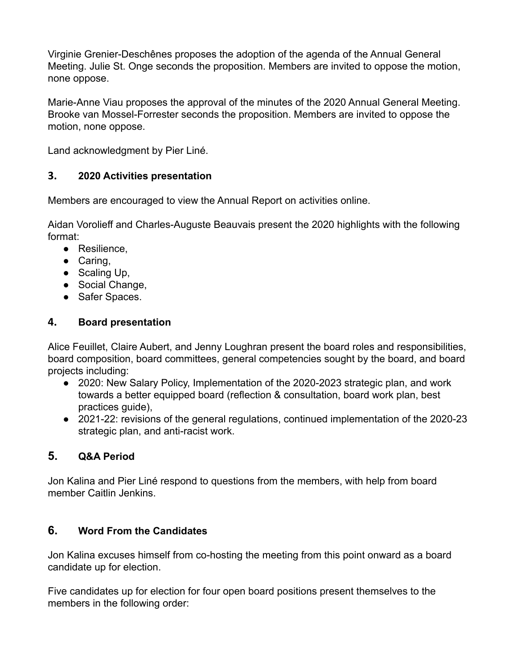Virginie Grenier-Deschênes proposes the adoption of the agenda of the Annual General Meeting. Julie St. Onge seconds the proposition. Members are invited to oppose the motion, none oppose.

Marie-Anne Viau proposes the approval of the minutes of the 2020 Annual General Meeting. Brooke van Mossel-Forrester seconds the proposition. Members are invited to oppose the motion, none oppose.

Land acknowledgment by Pier Liné.

## **3. 2020 Activities presentation**

Members are encouraged to view the Annual Report on activities online.

Aidan Vorolieff and Charles-Auguste Beauvais present the 2020 highlights with the following format:

- Resilience,
- Caring,
- $\bullet$  Scaling Up,
- Social Change,
- Safer Spaces.

## **4. Board presentation**

Alice Feuillet, Claire Aubert, and Jenny Loughran present the board roles and responsibilities, board composition, board committees, general competencies sought by the board, and board projects including:

- 2020: New Salary Policy, Implementation of the 2020-2023 strategic plan, and work towards a better equipped board (reflection & consultation, board work plan, best practices guide),
- 2021-22: revisions of the general regulations, continued implementation of the 2020-23 strategic plan, and anti-racist work.

## **5. Q&A Period**

Jon Kalina and Pier Liné respond to questions from the members, with help from board member Caitlin Jenkins.

## **6. Word From the Candidates**

Jon Kalina excuses himself from co-hosting the meeting from this point onward as a board candidate up for election.

Five candidates up for election for four open board positions present themselves to the members in the following order: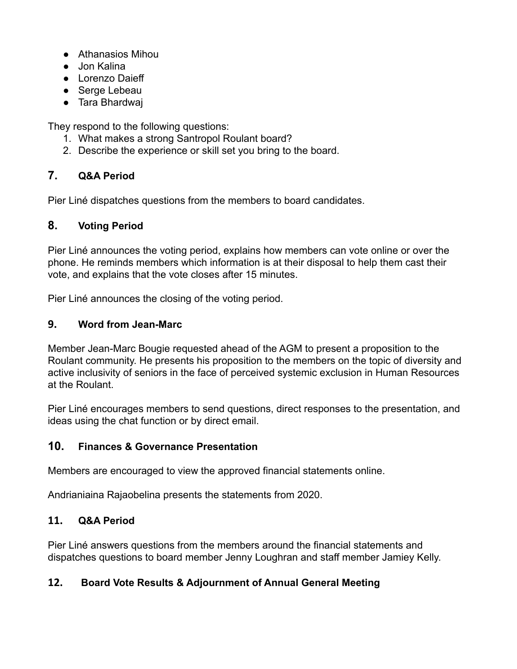- Athanasios Mihou
- Jon Kalina
- Lorenzo Daieff
- Serge Lebeau
- Tara Bhardwaj

They respond to the following questions:

- 1. What makes a strong Santropol Roulant board?
- 2. Describe the experience or skill set you bring to the board.

# **7. Q&A Period**

Pier Liné dispatches questions from the members to board candidates.

# **8. Voting Period**

Pier Liné announces the voting period, explains how members can vote online or over the phone. He reminds members which information is at their disposal to help them cast their vote, and explains that the vote closes after 15 minutes.

Pier Liné announces the closing of the voting period.

### **9. Word from Jean-Marc**

Member Jean-Marc Bougie requested ahead of the AGM to present a proposition to the Roulant community. He presents his proposition to the members on the topic of diversity and active inclusivity of seniors in the face of perceived systemic exclusion in Human Resources at the Roulant.

Pier Liné encourages members to send questions, direct responses to the presentation, and ideas using the chat function or by direct email.

## **10. Finances & Governance Presentation**

Members are encouraged to view the approved financial statements online.

Andrianiaina Rajaobelina presents the statements from 2020.

## **11. Q&A Period**

Pier Liné answers questions from the members around the financial statements and dispatches questions to board member Jenny Loughran and staff member Jamiey Kelly.

## **12. Board Vote Results & Adjournment of Annual General Meeting**